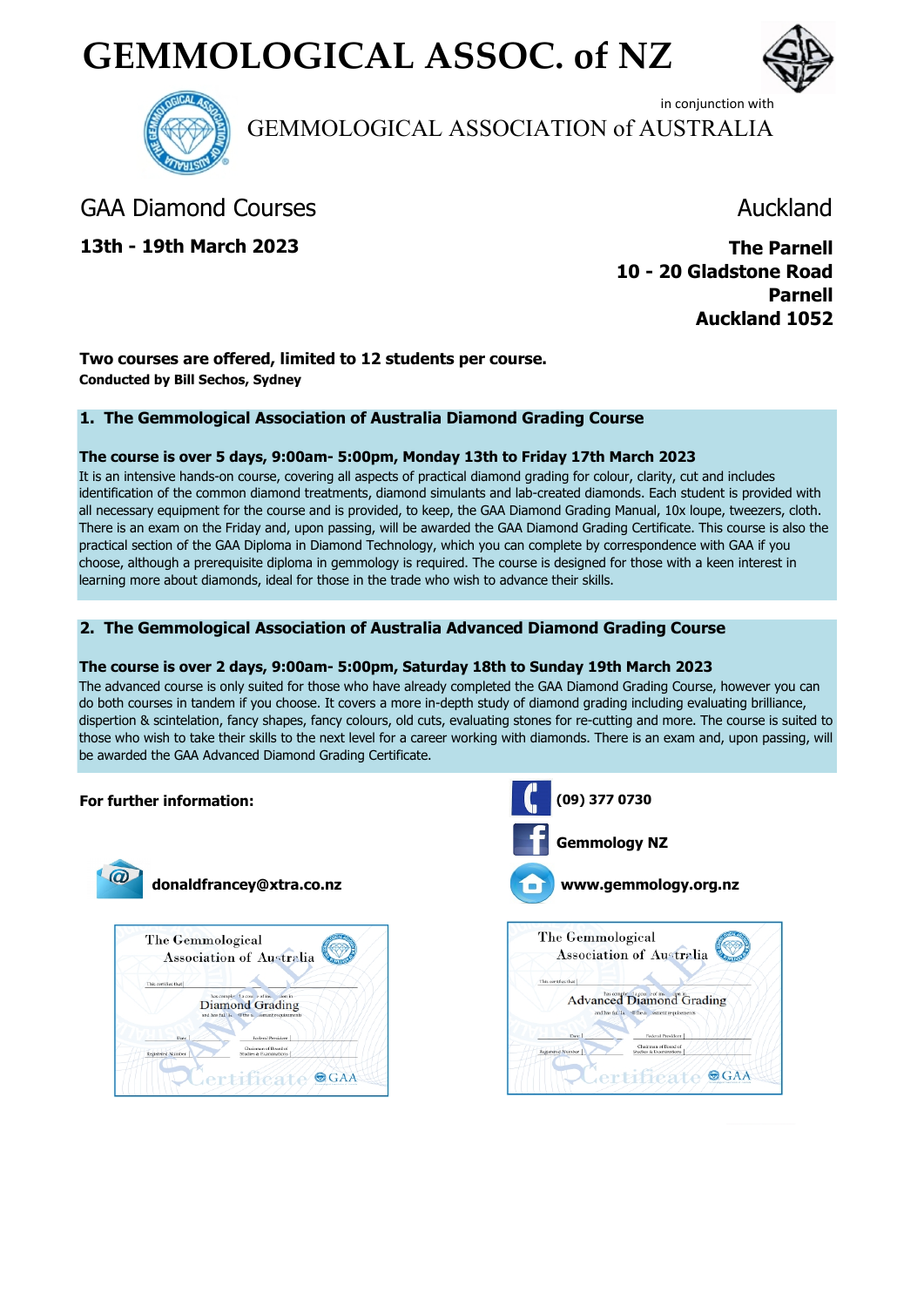# **GEMMOLOGICAL ASSOC. of NZ**





in conjunction with GEMMOLOGICAL ASSOCIATION of AUSTRALIA

## GAA Diamond Courses **Auckland**

**13th - 19th March 2023**

**The Parnell 10 - 20 Gladstone Road Parnell Auckland 1052**

#### **Two courses are offered, limited to 12 students per course. Conducted by Bill Sechos, Sydney**

#### **1. The Gemmological Association of Australia Diamond Grading Course**

#### **The course is over 5 days, 9:00am- 5:00pm, Monday 13th to Friday 17th March 2023**

It is an intensive hands-on course, covering all aspects of practical diamond grading for colour, clarity, cut and includes identification of the common diamond treatments, diamond simulants and lab-created diamonds. Each student is provided with all necessary equipment for the course and is provided, to keep, the GAA Diamond Grading Manual, 10x loupe, tweezers, cloth. There is an exam on the Friday and, upon passing, will be awarded the GAA Diamond Grading Certificate. This course is also the practical section of the GAA Diploma in Diamond Technology, which you can complete by correspondence with GAA if you choose, although a prerequisite diploma in gemmology is required. The course is designed for those with a keen interest in learning more about diamonds, ideal for those in the trade who wish to advance their skills.

#### **2. The Gemmological Association of Australia Advanced Diamond Grading Course**

#### **The course is over 2 days, 9:00am- 5:00pm, Saturday 18th to Sunday 19th March 2023**

The advanced course is only suited for those who have already completed the GAA Diamond Grading Course, however you can do both courses in tandem if you choose. It covers a more in-depth study of diamond grading including evaluating brilliance, dispertion & scintelation, fancy shapes, fancy colours, old cuts, evaluating stones for re-cutting and more. The course is suited to those who wish to take their skills to the next level for a career working with diamonds. There is an exam and, upon passing, will be awarded the GAA Advanced Diamond Grading Certificate.

#### **For further information:**